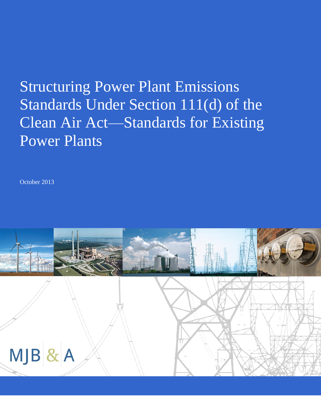# Structuring Power Plant Emissions Standards Under Section 111(d) of the Clean Air Act—Standards for Existing Power Plants

October 2013

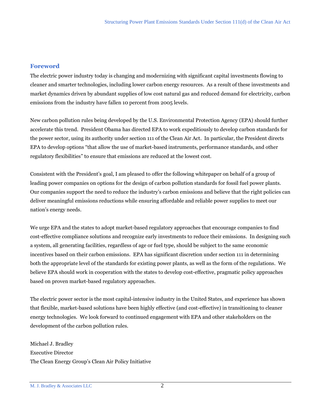#### **Foreword**

The electric power industry today is changing and modernizing with significant capital investments flowing to cleaner and smarter technologies, including lower carbon energy resources. As a result of these investments and market dynamics driven by abundant supplies of low cost natural gas and reduced demand for electricity, carbon emissions from the industry have fallen 10 percent from 2005 levels.

New carbon pollution rules being developed by the U.S. Environmental Protection Agency (EPA) should further accelerate this trend. President Obama has directed EPA to work expeditiously to develop carbon standards for the power sector, using its authority under section 111 of the Clean Air Act. In particular, the President directs EPA to develop options "that allow the use of market-based instruments, performance standards, and other regulatory flexibilities" to ensure that emissions are reduced at the lowest cost.

Consistent with the President's goal, I am pleased to offer the following whitepaper on behalf of a group of leading power companies on options for the design of carbon pollution standards for fossil fuel power plants. Our companies support the need to reduce the industry's carbon emissions and believe that the right policies can deliver meaningful emissions reductions while ensuring affordable and reliable power supplies to meet our nation's energy needs.

We urge EPA and the states to adopt market-based regulatory approaches that encourage companies to find cost-effective compliance solutions and recognize early investments to reduce their emissions. In designing such a system, all generating facilities, regardless of age or fuel type, should be subject to the same economic incentives based on their carbon emissions. EPA has significant discretion under section 111 in determining both the appropriate level of the standards for existing power plants, as well as the form of the regulations. We believe EPA should work in cooperation with the states to develop cost-effective, pragmatic policy approaches based on proven market-based regulatory approaches.

The electric power sector is the most capital-intensive industry in the United States, and experience has shown that flexible, market-based solutions have been highly effective (and cost-effective) in transitioning to cleaner energy technologies. We look forward to continued engagement with EPA and other stakeholders on the development of the carbon pollution rules.

Michael J. Bradley Executive Director The Clean Energy Group's Clean Air Policy Initiative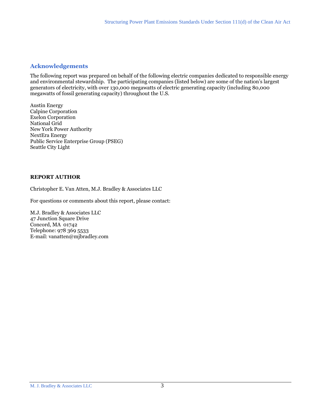#### **Acknowledgements**

The following report was prepared on behalf of the following electric companies dedicated to responsible energy and environmental stewardship. The participating companies (listed below) are some of the nation's largest generators of electricity, with over 130,000 megawatts of electric generating capacity (including 80,000 megawatts of fossil generating capacity) throughout the U.S.

Austin Energy Calpine Corporation Exelon Corporation National Grid New York Power Authority NextEra Energy Public Service Enterprise Group (PSEG) Seattle City Light

#### **REPORT AUTHOR**

Christopher E. Van Atten, M.J. Bradley & Associates LLC

For questions or comments about this report, please contact:

M.J. Bradley & Associates LLC 47 Junction Square Drive Concord, MA 01742 Telephone: 978 369 5533 E-mail: vanatten@mjbradley.com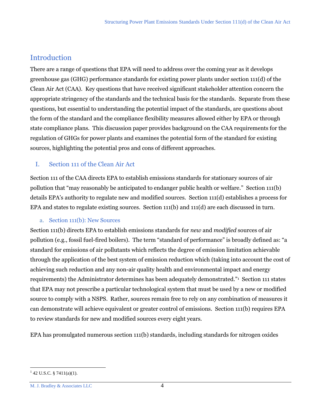# Introduction

There are a range of questions that EPA will need to address over the coming year as it develops greenhouse gas (GHG) performance standards for existing power plants under section 111(d) of the Clean Air Act (CAA). Key questions that have received significant stakeholder attention concern the appropriate stringency of the standards and the technical basis for the standards. Separate from these questions, but essential to understanding the potential impact of the standards, are questions about the form of the standard and the compliance flexibility measures allowed either by EPA or through state compliance plans. This discussion paper provides background on the CAA requirements for the regulation of GHGs for power plants and examines the potential form of the standard for existing sources, highlighting the potential pros and cons of different approaches.

# I. Section 111 of the Clean Air Act

Section 111 of the CAA directs EPA to establish emissions standards for stationary sources of air pollution that "may reasonably be anticipated to endanger public health or welfare." Section 111(b) details EPA's authority to regulate new and modified sources. Section 111(d) establishes a process for EPA and states to regulate existing sources. Section 111(b) and 111(d) are each discussed in turn.

# a. Section 111(b): New Sources

Section 111(b) directs EPA to establish emissions standards for *new* and *modified* sources of air pollution (e.g., fossil fuel-fired boilers). The term "standard of performance" is broadly defined as: "a standard for emissions of air pollutants which reflects the degree of emission limitation achievable through the application of the best system of emission reduction which (taking into account the cost of achieving such reduction and any non-air quality health and environmental impact and energy requirements) the Administrator determines has been adequately demonstrated."<sup>1</sup> Section 111 states that EPA may not prescribe a particular technological system that must be used by a new or modified source to comply with a NSPS. Rather, sources remain free to rely on any combination of measures it can demonstrate will achieve equivalent or greater control of emissions. Section 111(b) requires EPA to review standards for new and modified sources every eight years.

EPA has promulgated numerous section 111(b) standards, including standards for nitrogen oxides

 $1$  42 U.S.C. § 7411(a)(1).

M. J. Bradley & Associates LLC 4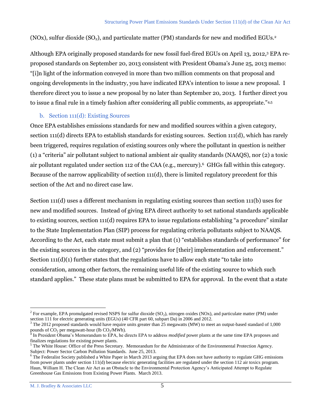(NOx), sulfur dioxide  $(SO<sub>2</sub>)$ , and particulate matter (PM) standards for new and modified EGUs.<sup>2</sup>

Although EPA originally proposed standards for new fossil fuel-fired EGUs on April 13, 2012,<sup>3</sup> EPA reproposed standards on September 20, 2013 consistent with President Obama's June 25, 2013 memo: "[i]n light of the information conveyed in more than two million comments on that proposal and ongoing developments in the industry, you have indicated EPA's intention to issue a new proposal. I therefore direct you to issue a new proposal by no later than September 20, 2013. I further direct you to issue a final rule in a timely fashion after considering all public comments, as appropriate."4,5

### b. Section 111(d): Existing Sources

Once EPA establishes emissions standards for new and modified sources within a given category, section 111(d) directs EPA to establish standards for existing sources. Section 111(d), which has rarely been triggered, requires regulation of existing sources only where the pollutant in question is neither (1) a "criteria" air pollutant subject to national ambient air quality standards (NAAQS), nor (2) a toxic air pollutant regulated under section 112 of the CAA (e.g., mercury).<sup>6</sup> GHGs fall within this category. Because of the narrow applicability of section 111(d), there is limited regulatory precedent for this section of the Act and no direct case law.

Section 111(d) uses a different mechanism in regulating existing sources than section 111(b) uses for new and modified sources. Instead of giving EPA direct authority to set national standards applicable to existing sources, section 111(d) requires EPA to issue regulations establishing "a procedure" similar to the State Implementation Plan (SIP) process for regulating criteria pollutants subject to NAAQS. According to the Act, each state must submit a plan that (1) "establishes standards of performance" for the existing sources in the category, and (2) "provides for [their] implementation and enforcement." Section  $111(d)(1)$  further states that the regulations have to allow each state "to take into consideration, among other factors, the remaining useful life of the existing source to which such standard applies." These state plans must be submitted to EPA for approval. In the event that a state

 $\overline{a}$ <sup>2</sup> For example, EPA promulgated revised NSPS for sulfur dioxide (SO<sub>2</sub>), nitrogen oxides (NOx), and particulate matter (PM) under section 111 for electric generating units (EGUs) (40 CFR part 60, subpart Da) in 2006 and 2012.

<sup>3</sup> The 2012 proposed standards would have require units greater than 25 megawatts (MW) to meet an output-based standard of 1,000 pounds of  $CO_2$  per megawatt-hour (lb  $CO_2/MWh$ ).

In President Obama's Memorandum to EPA, he directs EPA to address *modified* power plants at the same time EPA proposes and finalizes regulations for existing power plants.

 $<sup>5</sup>$  The White House: Office of the Press Secretary. Memorandum for the Administrator of the Environmental Protection Agency.</sup> Subject: Power Sector Carbon Pollution Standards. June 25, 2013.

 $6$  The Federalist Society published a White Paper in March 2013 arguing that EPA does not have authority to regulate GHG emissions from power plants under section 111(d) because electric generating facilities are regulated under the section 112 air toxics program. Haun, William H. The Clean Air Act as an Obstacle to the Environmental Protection Agency's Anticipated Attempt to Regulate Greenhouse Gas Emissions from Existing Power Plants. March 2013.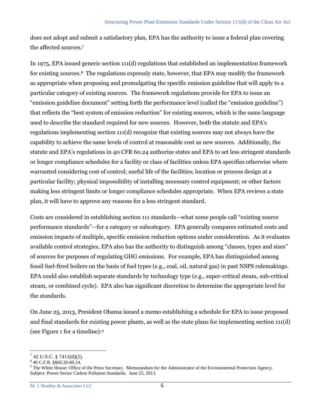does not adopt and submit a satisfactory plan, EPA has the authority to issue a federal plan covering the affected sources.<sup>7</sup>

In 1975, EPA issued generic section 111(d) regulations that established an implementation framework for existing sources.8 The regulations expressly state, however, that EPA may modify the framework as appropriate when proposing and promulgating the specific emission guideline that will apply to a particular category of existing sources. The framework regulations provide for EPA to issue an "emission guideline document" setting forth the performance level (called the "emission guideline") that reflects the "best system of emission reduction" for existing sources, which is the same language used to describe the standard required for new sources. However, both the statute and EPA's regulations implementing section 111(d) recognize that existing sources may not always have the capability to achieve the same levels of control at reasonable cost as new sources. Additionally, the statute and EPA's regulations in 40 CFR 60.24 authorize states and EPA to set less stringent standards or longer compliance schedules for a facility or class of facilities unless EPA specifies otherwise where warranted considering cost of control; useful life of the facilities; location or process design at a particular facility; physical impossibility of installing necessary control equipment; or other factors making less stringent limits or longer compliance schedules appropriate. When EPA reviews a state plan, it will have to approve any reasons for a less stringent standard.

Costs are considered in establishing section 111 standards—what some people call "existing source performance standards"—for a category or subcategory. EPA generally compares estimated costs and emission impacts of multiple, specific emission reduction options under consideration. As it evaluates available control strategies, EPA also has the authority to distinguish among "classes, types and sizes" of sources for purposes of regulating GHG emissions. For example, EPA has distinguished among fossil fuel-fired boilers on the basis of fuel types (e.g., coal, oil, natural gas) in past NSPS rulemakings. EPA could also establish separate standards by technology type (e.g., super-critical steam, sub-critical steam, or combined cycle). EPA also has significant discretion to determine the appropriate level for the standards.

On June 25, 2013, President Obama issued a memo establishing a schedule for EPA to issue proposed and final standards for existing power plants, as well as the state plans for implementing section 111(d) (see Figure 1 for a timeline): 9

 $7$  42 U.S.C. § 7411(d)(2).

<sup>8</sup> 40 C.F.R. §§60.20-60.24.

<sup>9</sup> The White House: Office of the Press Secretary. Memorandum for the Administrator of the Environmental Protection Agency. Subject: Power Sector Carbon Pollution Standards. June 25, 2013.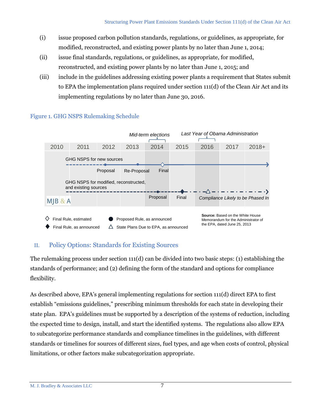- (i) issue proposed carbon pollution standards, regulations, or guidelines, as appropriate, for modified, reconstructed, and existing power plants by no later than June 1, 2014;
- (ii) issue final standards, regulations, or guidelines, as appropriate, for modified, reconstructed, and existing power plants by no later than June 1, 2015; and
- (iii) include in the guidelines addressing existing power plants a requirement that States submit to EPA the implementation plans required under section 111(d) of the Clean Air Act and its implementing regulations by no later than June 30, 2016.



# Figure 1. GHG NSPS Rulemaking Schedule

# II. Policy Options: Standards for Existing Sources

The rulemaking process under section 111(d) can be divided into two basic steps: (1) establishing the standards of performance; and (2) defining the form of the standard and options for compliance flexibility.

As described above, EPA's general implementing regulations for section 111(d) direct EPA to first establish "emissions guidelines," prescribing minimum thresholds for each state in developing their state plan. EPA's guidelines must be supported by a description of the systems of reduction, including the expected time to design, install, and start the identified systems. The regulations also allow EPA to subcategorize performance standards and compliance timelines in the guidelines, with different standards or timelines for sources of different sizes, fuel types, and age when costs of control, physical limitations, or other factors make subcategorization appropriate.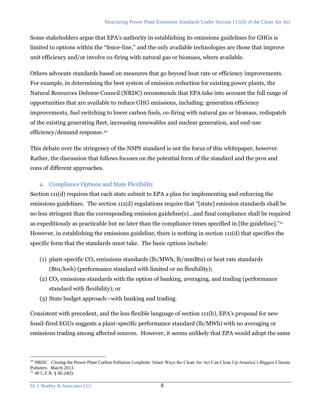Some stakeholders argue that EPA's authority in establishing its emissions guidelines for GHGs is limited to options within the "fence-line," and the only available technologies are those that improve unit efficiency and/or involve co-firing with natural gas or biomass, where available.

Others advocate standards based on measures that go beyond heat rate or efficiency improvements. For example, in determining the best system of emission reduction for existing power plants, the Natural Resources Defense Council (NRDC) recommends that EPA take into account the full range of opportunities that are available to reduce GHG emissions, including: generation efficiency improvements, fuel switching to lower carbon fuels, co-firing with natural gas or biomass, redispatch of the existing generating fleet, increasing renewables and nuclear generation, and end-use efficiency/demand response.<sup>10</sup>

This debate over the stringency of the NSPS standard is not the focus of this whitepaper, however. Rather, the discussion that follows focuses on the potential form of the standard and the pros and cons of different approaches.

### a. Compliance Options and State Flexibility

Section 111(d) requires that each state submit to EPA a plan for implementing and enforcing the emissions guidelines. The section 111(d) regulations require that "[state] emission standards shall be no less stringent than the corresponding emission guideline(s)…and final compliance shall be required as expeditiously as practicable but no later than the compliance times specified in [the guideline]."<sup>11</sup> However, in establishing the emissions guideline, there is nothing in section 111(d) that specifies the specific form that the standards must take. The basic options include:

- (1) plant-specific  $CO_2$  emissions standards (lb/MWh, lb/mmBtu) or heat rate standards (Btu/kwh) (performance standard with limited or no flexibility);
- (2)  $CO<sub>2</sub>$  emissions standards with the option of banking, averaging, and trading (performance standard with flexibility); or
- (3) State budget approach—with banking and trading.

Consistent with precedent, and the less flexible language of section 111(b), EPA's proposal for new fossil-fired EGUs suggests a plant-specific performance standard (lb/MWh) with no averaging or emissions trading among affected sources. However, it seems unlikely that EPA would adopt the same

<sup>&</sup>lt;sup>10</sup> NRDC. Closing the Power Plant Carbon Pollution Loophole: Smart Ways the Clean Air Act Can Clean Up America's Biggest Climate Polluters. March 2013.

 $11$  40 C.F.R. § 60.24(f).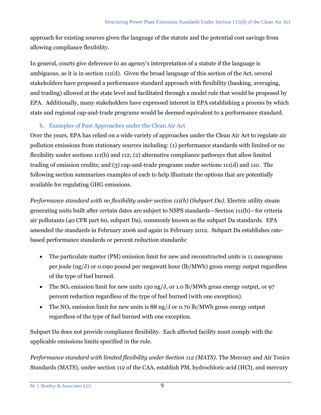approach for existing sources given the language of the statute and the potential cost savings from allowing compliance flexibility.

In general, courts give deference to an agency's interpretation of a statute if the language is ambiguous, as it is in section  $111(d)$ . Given the broad language of this section of the Act, several stakeholders have proposed a performance standard approach with flexibility (banking, averaging, and trading) allowed at the state level and facilitated through a model rule that would be proposed by EPA. Additionally, many stakeholders have expressed interest in EPA establishing a process by which state and regional cap-and-trade programs would be deemed equivalent to a performance standard.

# b. Examples of Past Approaches under the Clean Air Act

Over the years, EPA has relied on a wide variety of approaches under the Clean Air Act to regulate air pollution emissions from stationary sources including: (1) performance standards with limited or no flexibility under sections 111(b) and 112; (2) alternative compliance pathways that allow limited trading of emission credits; and (3) cap-and-trade programs under sections 111(d) and 110. The following section summarizes examples of each to help illustrate the options that are potentially available for regulating GHG emissions.

*Performance standard with no flexibility under section 111(b) (Subpart Da).* Electric utility steam generating units built after certain dates are subject to NSPS standards—Section 111(b)—for criteria air pollutants (40 CFR part 60, subpart Da), commonly known as the subpart Da standards. EPA amended the standards in February 2006 and again in February 2012. Subpart Da establishes ratebased performance standards or percent reduction standards:

- The particulate matter (PM) emission limit for new and reconstructed units is 11 nanograms per joule (ng/J) or 0.090 pound per megawatt hour (lb/MWh) gross energy output regardless of the type of fuel burned.
- The  $SO_2$  emission limit for new units 130 ng/J, or 1.0 lb/MWh gross energy output, or 97 percent reduction regardless of the type of fuel burned (with one exception).
- The NO<sub>x</sub> emission limit for new units is 88 ng/J or 0.70 lb/MWh gross energy output regardless of the type of fuel burned with one exception.

Subpart Da does not provide compliance flexibility. Each affected facility must comply with the applicable emissions limits specified in the rule.

*Performance standard with limited flexibility under Section 112 (MATS).* The Mercury and Air Toxics Standards (MATS), under section 112 of the CAA, establish PM, hydrochloric acid (HCl), and mercury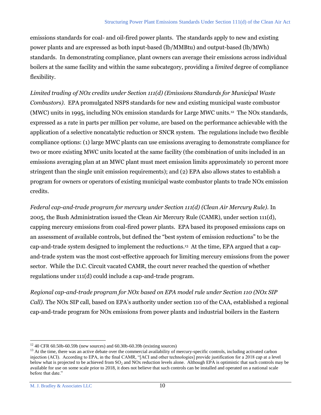emissions standards for coal- and oil-fired power plants. The standards apply to new and existing power plants and are expressed as both input-based (lb/MMBtu) and output-based (lb/MWh) standards. In demonstrating compliance, plant owners can average their emissions across individual boilers at the same facility and within the same subcategory, providing a *limited* degree of compliance flexibility.

*Limited trading of NOx credits under Section 111(d) (Emissions Standards for Municipal Waste Combustors).*EPA promulgated NSPS standards for new and existing municipal waste combustor (MWC) units in 1995, including NOx emission standards for Large MWC units.<sup>12</sup> The NOx standards, expressed as a rate in parts per million per volume, are based on the performance achievable with the application of a selective noncatalytic reduction or SNCR system. The regulations include two flexible compliance options: (1) large MWC plants can use emissions averaging to demonstrate compliance for two or more existing MWC units located at the same facility (the combination of units included in an emissions averaging plan at an MWC plant must meet emission limits approximately 10 percent more stringent than the single unit emission requirements); and (2) EPA also allows states to establish a program for owners or operators of existing municipal waste combustor plants to trade NOx emission credits.

*Federal cap-and-trade program for mercury under Section 111(d) (Clean Air Mercury Rule).* In 2005, the Bush Administration issued the Clean Air Mercury Rule (CAMR), under section 111(d), capping mercury emissions from coal-fired power plants. EPA based its proposed emissions caps on an assessment of available controls, but defined the "best system of emission reductions" to be the cap-and-trade system designed to implement the reductions. 13 At the time, EPA argued that a capand-trade system was the most cost-effective approach for limiting mercury emissions from the power sector. While the D.C. Circuit vacated CAMR, the court never reached the question of whether regulations under 111(d) could include a cap-and-trade program.

*Regional cap-and-trade program for NOx based on EPA model rule under Section 110 (NOx SIP Call).* The NOx SIP call, based on EPA's authority under section 110 of the CAA, established a regional cap-and-trade program for NOx emissions from power plants and industrial boilers in the Eastern

 $12$  40 CFR 60.50b-60.59b (new sources) and 60.30b-60.39b (existing sources)

<sup>&</sup>lt;sup>13</sup> At the time, there was an active debate over the commercial availability of mercury-specific controls, including activated carbon injection (ACI). According to EPA, in the final CAMR, "[ACI and other technologies] provide justification for a 2018 cap at a level below what is projected to be achieved from SO<sub>2</sub> and NOx reduction levels alone. Although EPA is optimistic that such controls may be available for use on some scale prior to 2018, it does not believe that such controls can be installed and operated on a national scale before that date."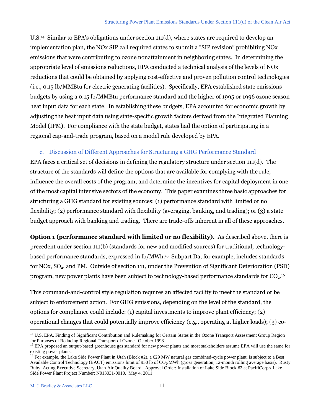U.S.<sup>14</sup> Similar to EPA's obligations under section 111(d), where states are required to develop an implementation plan, the NOx SIP call required states to submit a "SIP revision" prohibiting NOx emissions that were contributing to ozone nonattainment in neighboring states. In determining the appropriate level of emissions reductions, EPA conducted a technical analysis of the levels of NOx reductions that could be obtained by applying cost-effective and proven pollution control technologies (i.e., 0.15 lb/MMBtu for electric generating facilities). Specifically, EPA established state emissions budgets by using a 0.15 lb/MMBtu performance standard and the higher of 1995 or 1996 ozone season heat input data for each state. In establishing these budgets, EPA accounted for economic growth by adjusting the heat input data using state-specific growth factors derived from the Integrated Planning Model (IPM). For compliance with the state budget, states had the option of participating in a regional cap-and-trade program, based on a model rule developed by EPA.

#### c. Discussion of Different Approaches for Structuring a GHG Performance Standard

EPA faces a critical set of decisions in defining the regulatory structure under section 111(d). The structure of the standards will define the options that are available for complying with the rule, influence the overall costs of the program, and determine the incentives for capital deployment in one of the most capital intensive sectors of the economy. This paper examines three basic approaches for structuring a GHG standard for existing sources: (1) performance standard with limited or no flexibility; (2) performance standard with flexibility (averaging, banking, and trading); or (3) a state budget approach with banking and trading. There are trade-offs inherent in all of these approaches.

**Option 1 (performance standard with limited or no flexibility).** As described above, there is precedent under section 111(b) (standards for new and modified sources) for traditional, technologybased performance standards, expressed in lb/MWh.<sup>15</sup> Subpart Da, for example, includes standards for NOx, SO2, and PM. Outside of section 111, under the Prevention of Significant Deterioration (PSD) program, new power plants have been subject to technology-based performance standards for CO<sub>2</sub>.<sup>16</sup>

This command-and-control style regulation requires an affected facility to meet the standard or be subject to enforcement action. For GHG emissions, depending on the level of the standard, the options for compliance could include: (1) capital investments to improve plant efficiency; (2) operational changes that could potentially improve efficiency (e.g., operating at higher loads); (3) co-

<sup>&</sup>lt;sup>14</sup> U.S. EPA. Finding of Significant Contribution and Rulemaking for Certain States in the Ozone Transport Assessment Group Region for Purposes of Reducing Regional Transport of Ozone. October 1998.

<sup>&</sup>lt;sup>15</sup> EPA proposed an output-based greenhouse gas standard for new power plants and most stakeholders assume EPA will use the same for existing power plants.

<sup>&</sup>lt;sup>16</sup> For example, the Lake Side Power Plant in Utah (Block #2), a 629 MW natural gas combined-cycle power plant, is subject to a Best Available Control Technology (BACT) emissions limit of 950 lb of  $CO<sub>2</sub>/MWh$  (gross generation, 12-month rolling average basis). Rusty Ruby, Acting Executive Secretary, Utah Air Quality Board. Approval Order: Installation of Lake Side Block #2 at PacifiCorp's Lake Side Power Plant Project Number: N013031-0010. May 4, 2011.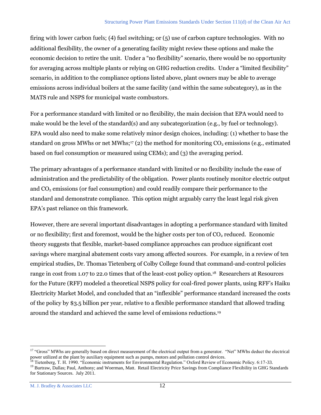firing with lower carbon fuels; (4) fuel switching; or (5) use of carbon capture technologies. With no additional flexibility, the owner of a generating facility might review these options and make the economic decision to retire the unit. Under a "no flexibility" scenario, there would be no opportunity for averaging across multiple plants or relying on GHG reduction credits. Under a "limited flexibility" scenario, in addition to the compliance options listed above, plant owners may be able to average emissions across individual boilers at the same facility (and within the same subcategory), as in the MATS rule and NSPS for municipal waste combustors.

For a performance standard with limited or no flexibility, the main decision that EPA would need to make would be the level of the standard(s) and any subcategorization (e.g., by fuel or technology). EPA would also need to make some relatively minor design choices, including: (1) whether to base the standard on gross MWhs or net MWhs;<sup>17</sup> (2) the method for monitoring  $CO<sub>2</sub>$  emissions (e.g., estimated based on fuel consumption or measured using CEMs); and (3) the averaging period.

The primary advantages of a performance standard with limited or no flexibility include the ease of administration and the predictability of the obligation. Power plants routinely monitor electric output and  $CO<sub>2</sub>$  emissions (or fuel consumption) and could readily compare their performance to the standard and demonstrate compliance. This option might arguably carry the least legal risk given EPA's past reliance on this framework.

However, there are several important disadvantages in adopting a performance standard with limited or no flexibility; first and foremost, would be the higher costs per ton of  $CO<sub>2</sub>$  reduced. Economic theory suggests that flexible, market-based compliance approaches can produce significant cost savings where marginal abatement costs vary among affected sources. For example, in a review of ten empirical studies, Dr. Thomas Tietenberg of Colby College found that command-and-control policies range in cost from 1.07 to 22.0 times that of the least-cost policy option.18 Researchers at Resources for the Future (RFF) modeled a theoretical NSPS policy for coal-fired power plants, using RFF's Haiku Electricity Market Model, and concluded that an "inflexible" performance standard increased the costs of the policy by \$3.5 billion per year, relative to a flexible performance standard that allowed trading around the standard and achieved the same level of emissions reductions.<sup>19</sup>

<sup>&</sup>lt;sup>17</sup> "Gross" MWhs are generally based on direct measurement of the electrical output from a generator. "Net" MWhs deduct the electrical power utilized at the plant by auxiliary equipment such as pumps, motors and pollution control devices.

<sup>&</sup>lt;sup>18</sup> Tietenberg, T. H. 1990. "Economic instruments for Environmental Regulation." Oxford Review of Economic Policy. 6:17-33.

<sup>&</sup>lt;sup>19</sup> Burtraw, Dallas; Paul, Anthony; and Woerman, Matt. Retail Electricity Price Savings from Compliance Flexibility in GHG Standards for Stationary Sources. July 2011.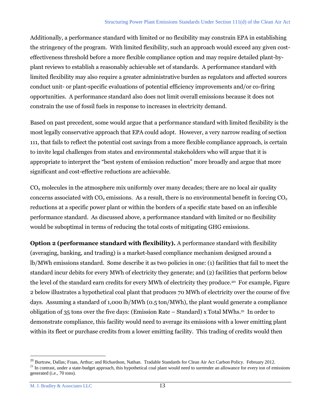Additionally, a performance standard with limited or no flexibility may constrain EPA in establishing the stringency of the program. With limited flexibility, such an approach would exceed any given costeffectiveness threshold before a more flexible compliance option and may require detailed plant-byplant reviews to establish a reasonably achievable set of standards. A performance standard with limited flexibility may also require a greater administrative burden as regulators and affected sources conduct unit- or plant-specific evaluations of potential efficiency improvements and/or co-firing opportunities. A performance standard also does not limit overall emissions because it does not constrain the use of fossil fuels in response to increases in electricity demand.

Based on past precedent, some would argue that a performance standard with limited flexibility is the most legally conservative approach that EPA could adopt. However, a very narrow reading of section 111, that fails to reflect the potential cost savings from a more flexible compliance approach, is certain to invite legal challenges from states and environmental stakeholders who will argue that it is appropriate to interpret the "best system of emission reduction" more broadly and argue that more significant and cost-effective reductions are achievable.

 $CO<sub>2</sub>$  molecules in the atmosphere mix uniformly over many decades; there are no local air quality concerns associated with  $CO_2$  emissions. As a result, there is no environmental benefit in forcing  $CO_2$ reductions at a specific power plant or within the borders of a specific state based on an inflexible performance standard. As discussed above, a performance standard with limited or no flexibility would be suboptimal in terms of reducing the total costs of mitigating GHG emissions.

**Option 2 (performance standard with flexibility).** A performance standard with flexibility (averaging, banking, and trading) is a market-based compliance mechanism designed around a lb/MWh emissions standard. Some describe it as two policies in one: (1) facilities that fail to meet the standard incur debits for every MWh of electricity they generate; and (2) facilities that perform below the level of the standard earn credits for every MWh of electricity they produce.20 For example, Figure 2 below illustrates a hypothetical coal plant that produces 70 MWh of electricity over the course of five days. Assuming a standard of 1,000 lb/MWh (0.5 ton/MWh), the plant would generate a compliance obligation of 35 tons over the five days: (Emission Rate – Standard) x Total MWhs.<sup>21</sup> In order to demonstrate compliance, this facility would need to average its emissions with a lower emitting plant within its fleet or purchase credits from a lower emitting facility. This trading of credits would then

<sup>&</sup>lt;sup>20</sup> Burtraw, Dallas; Fraas, Arthur; and Richardson, Nathan. Tradable Standards for Clean Air Act Carbon Policy. February 2012.

 $21$  In contrast, under a state-budget approach, this hypothetical coal plant would need to surrender an allowance for every ton of emissions generated (i.e., 70 tons).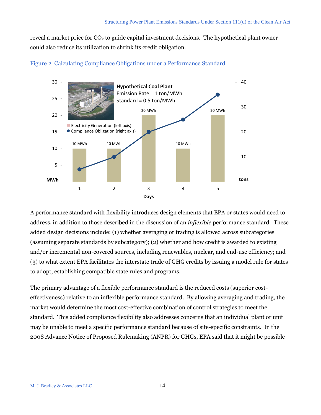reveal a market price for  $CO<sub>2</sub>$  to guide capital investment decisions. The hypothetical plant owner could also reduce its utilization to shrink its credit obligation.





A performance standard with flexibility introduces design elements that EPA or states would need to address, in addition to those described in the discussion of an *inflexible* performance standard. These added design decisions include: (1) whether averaging or trading is allowed across subcategories (assuming separate standards by subcategory); (2) whether and how credit is awarded to existing and/or incremental non-covered sources, including renewables, nuclear, and end-use efficiency; and (3) to what extent EPA facilitates the interstate trade of GHG credits by issuing a model rule for states to adopt, establishing compatible state rules and programs.

The primary advantage of a flexible performance standard is the reduced costs (superior costeffectiveness) relative to an inflexible performance standard. By allowing averaging and trading, the market would determine the most cost-effective combination of control strategies to meet the standard. This added compliance flexibility also addresses concerns that an individual plant or unit may be unable to meet a specific performance standard because of site-specific constraints. In the 2008 Advance Notice of Proposed Rulemaking (ANPR) for GHGs, EPA said that it might be possible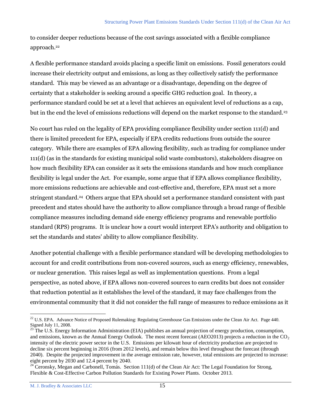to consider deeper reductions because of the cost savings associated with a flexible compliance approach.<sup>22</sup>

A flexible performance standard avoids placing a specific limit on emissions. Fossil generators could increase their electricity output and emissions, as long as they collectively satisfy the performance standard. This may be viewed as an advantage or a disadvantage, depending on the degree of certainty that a stakeholder is seeking around a specific GHG reduction goal. In theory, a performance standard could be set at a level that achieves an equivalent level of reductions as a cap, but in the end the level of emissions reductions will depend on the market response to the standard.<sup>23</sup>

No court has ruled on the legality of EPA providing compliance flexibility under section 111(d) and there is limited precedent for EPA, especially if EPA credits reductions from outside the source category. While there are examples of EPA allowing flexibility, such as trading for compliance under 111(d) (as in the standards for existing municipal solid waste combustors), stakeholders disagree on how much flexibility EPA can consider as it sets the emissions standards and how much compliance flexibility is legal under the Act. For example, some argue that if EPA allows compliance flexibility, more emissions reductions are achievable and cost-effective and, therefore, EPA must set a more stringent standard.<sup>24</sup> Others argue that EPA should set a performance standard consistent with past precedent and states should have the authority to allow compliance through a broad range of flexible compliance measures including demand side energy efficiency programs and renewable portfolio standard (RPS) programs. It is unclear how a court would interpret EPA's authority and obligation to set the standards and states' ability to allow compliance flexibility.

Another potential challenge with a flexible performance standard will be developing methodologies to account for and credit contributions from non-covered sources, such as energy efficiency, renewables, or nuclear generation. This raises legal as well as implementation questions. From a legal perspective, as noted above, if EPA allows non-covered sources to earn credits but does not consider that reduction potential as it establishes the level of the standard, it may face challenges from the environmental community that it did not consider the full range of measures to reduce emissions as it

 $\overline{a}$ <sup>22</sup> U.S. EPA. Advance Notice of Proposed Rulemaking: Regulating Greenhouse Gas Emissions under the Clean Air Act. Page 440. Signed July 11, 2008.

<sup>&</sup>lt;sup>23</sup> The U.S. Energy Information Administration (EIA) publishes an annual projection of energy production, consumption, and emissions, known as the Annual Energy Outlook. The most recent forecast (AEO2013) projects a reduction in the  $CO<sub>2</sub>$ intensity of the electric power sector in the U.S. Emissions per kilowatt hour of electricity production are projected to decline six percent beginning in 2016 (from 2012 levels), and remain below this level throughout the forecast (through 2040). Despite the projected improvement in the average emission rate, however, total emissions are projected to increase: eight percent by 2030 and 12.4 percent by 2040.

<sup>&</sup>lt;sup>24</sup> Ceronsky, Megan and Carbonell, Tomás. Section 111(d) of the Clean Air Act: The Legal Foundation for Strong, Flexible & Cost-Effective Carbon Pollution Standards for Existing Power Plants. October 2013.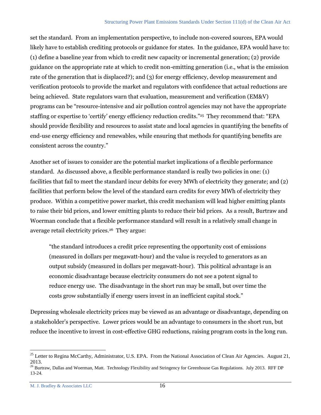set the standard. From an implementation perspective, to include non-covered sources, EPA would likely have to establish crediting protocols or guidance for states. In the guidance, EPA would have to: (1) define a baseline year from which to credit new capacity or incremental generation; (2) provide guidance on the appropriate rate at which to credit non-emitting generation (i.e., what is the emission rate of the generation that is displaced?); and (3) for energy efficiency, develop measurement and verification protocols to provide the market and regulators with confidence that actual reductions are being achieved. State regulators warn that evaluation, measurement and verification (EM&V) programs can be "resource-intensive and air pollution control agencies may not have the appropriate staffing or expertise to 'certify' energy efficiency reduction credits." 25 They recommend that: "EPA should provide flexibility and resources to assist state and local agencies in quantifying the benefits of end-use energy efficiency and renewables, while ensuring that methods for quantifying benefits are consistent across the country."

Another set of issues to consider are the potential market implications of a flexible performance standard. As discussed above, a flexible performance standard is really two policies in one: (1) facilities that fail to meet the standard incur debits for every MWh of electricity they generate; and (2) facilities that perform below the level of the standard earn credits for every MWh of electricity they produce. Within a competitive power market, this credit mechanism will lead higher emitting plants to raise their bid prices, and lower emitting plants to reduce their bid prices. As a result, Burtraw and Woerman conclude that a flexible performance standard will result in a relatively small change in average retail electricity prices.<sup>26</sup> They argue:

"the standard introduces a credit price representing the opportunity cost of emissions (measured in dollars per megawatt-hour) and the value is recycled to generators as an output subsidy (measured in dollars per megawatt-hour). This political advantage is an economic disadvantage because electricity consumers do not see a potent signal to reduce energy use. The disadvantage in the short run may be small, but over time the costs grow substantially if energy users invest in an inefficient capital stock."

Depressing wholesale electricity prices may be viewed as an advantage or disadvantage, depending on a stakeholder's perspective. Lower prices would be an advantage to consumers in the short run, but reduce the incentive to invest in cost-effective GHG reductions, raising program costs in the long run.

 $25$  Letter to Regina McCarthy, Administrator, U.S. EPA. From the National Association of Clean Air Agencies. August 21, 2013.

<sup>&</sup>lt;sup>26</sup> Burtraw, Dallas and Woerman, Matt. Technology Flexibility and Stringency for Greenhouse Gas Regulations. July 2013. RFF DP 13-24.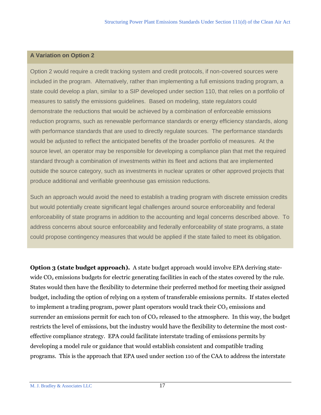### **A Variation on Option 2**

Option 2 would require a credit tracking system and credit protocols, if non-covered sources were included in the program. Alternatively, rather than implementing a full emissions trading program, a state could develop a plan, similar to a SIP developed under section 110, that relies on a portfolio of measures to satisfy the emissions guidelines. Based on modeling, state regulators could demonstrate the reductions that would be achieved by a combination of enforceable emissions reduction programs, such as renewable performance standards or energy efficiency standards, along with performance standards that are used to directly regulate sources. The performance standards would be adjusted to reflect the anticipated benefits of the broader portfolio of measures. At the source level, an operator may be responsible for developing a compliance plan that met the required standard through a combination of investments within its fleet and actions that are implemented outside the source category, such as investments in nuclear uprates or other approved projects that produce additional and verifiable greenhouse gas emission reductions.

Such an approach would avoid the need to establish a trading program with discrete emission credits but would potentially create significant legal challenges around source enforceability and federal enforceability of state programs in addition to the accounting and legal concerns described above. To address concerns about source enforceability and federally enforceability of state programs, a state could propose contingency measures that would be applied if the state failed to meet its obligation.

**Option 3 (state budget approach).** A state budget approach would involve EPA deriving statewide  $CO<sub>2</sub>$  emissions budgets for electric generating facilities in each of the states covered by the rule. States would then have the flexibility to determine their preferred method for meeting their assigned budget, including the option of relying on a system of transferable emissions permits. If states elected to implement a trading program, power plant operators would track their  $CO<sub>2</sub>$  emissions and surrender an emissions permit for each ton of  $CO<sub>2</sub>$  released to the atmosphere. In this way, the budget restricts the level of emissions, but the industry would have the flexibility to determine the most costeffective compliance strategy. EPA could facilitate interstate trading of emissions permits by developing a model rule or guidance that would establish consistent and compatible trading programs. This is the approach that EPA used under section 110 of the CAA to address the interstate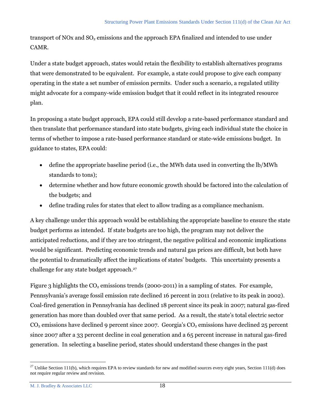transport of NOx and  $SO_2$  emissions and the approach EPA finalized and intended to use under CAMR.

Under a state budget approach, states would retain the flexibility to establish alternatives programs that were demonstrated to be equivalent. For example, a state could propose to give each company operating in the state a set number of emission permits. Under such a scenario, a regulated utility might advocate for a company-wide emission budget that it could reflect in its integrated resource plan.

In proposing a state budget approach, EPA could still develop a rate-based performance standard and then translate that performance standard into state budgets, giving each individual state the choice in terms of whether to impose a rate-based performance standard or state-wide emissions budget. In guidance to states, EPA could:

- define the appropriate baseline period (i.e., the MWh data used in converting the lb/MWh standards to tons);
- determine whether and how future economic growth should be factored into the calculation of the budgets; and
- define trading rules for states that elect to allow trading as a compliance mechanism.

A key challenge under this approach would be establishing the appropriate baseline to ensure the state budget performs as intended. If state budgets are too high, the program may not deliver the anticipated reductions, and if they are too stringent, the negative political and economic implications would be significant. Predicting economic trends and natural gas prices are difficult, but both have the potential to dramatically affect the implications of states' budgets. This uncertainty presents a challenge for any state budget approach.<sup>27</sup>

Figure 3 highlights the  $CO<sub>2</sub>$  emissions trends (2000-2011) in a sampling of states. For example, Pennsylvania's average fossil emission rate declined 16 percent in 2011 (relative to its peak in 2002). Coal-fired generation in Pennsylvania has declined 18 percent since its peak in 2007; natural gas-fired generation has more than doubled over that same period. As a result, the state's total electric sector  $CO<sub>2</sub>$  emissions have declined 9 percent since 2007. Georgia's  $CO<sub>2</sub>$  emissions have declined 25 percent since 2007 after a 33 percent decline in coal generation and a 65 percent increase in natural gas-fired generation. In selecting a baseline period, states should understand these changes in the past

 $\overline{a}$  $^{27}$  Unlike Section 111(b), which requires EPA to review standards for new and modified sources every eight years, Section 111(d) does not require regular review and revision.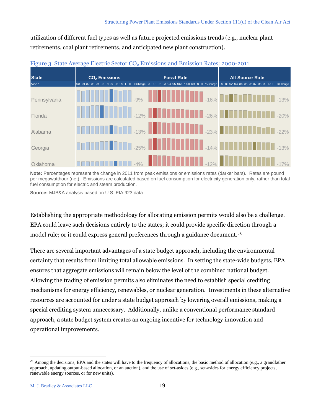utilization of different fuel types as well as future projected emissions trends (e.g., nuclear plant retirements, coal plant retirements, and anticipated new plant construction).

| <b>State</b><br>year | $CO2$ Emissions | <b>Fossil Rate</b><br>00 01 02 03 04 05 06 07 08 09 10 11 %Change 00 01 02 03 04 05 06 07 08 09 10 11 %Change 00 01 02 03 04 05 06 07 08 09 10 11 %Change | <b>All Source Rate</b>                                                                                                  |
|----------------------|-----------------|-----------------------------------------------------------------------------------------------------------------------------------------------------------|-------------------------------------------------------------------------------------------------------------------------|
| Pennsylvania         |                 |                                                                                                                                                           | <b>THE REFERENCE OF RESIDENCE AND RESIDENCE AND RESIDENCE AND RESIDENCE AND RESIDENCE AND RESIDENCE AND RESIDENCE</b>   |
| Florida              |                 |                                                                                                                                                           | <b>THE REAL PROPERTY OF REAL PROPERTY OF REAL PROPERTY OF REAL PROPERTY OF REAL PROPERTY OF REAL PROPERTY OF REAL</b>   |
| Alabama              |                 |                                                                                                                                                           | <b>THE REFERENCE OF A 13% REFERENCE OF A 1999 REFERENCE OF A 1999 REFERENCE OF A 1999 REFERENCE OF A 1999 REFERENCE</b> |
| Georgia              |                 |                                                                                                                                                           | <b>THE REFERENCE OF RESIDENCE OF REAL PROPERTY OF REAL PROPERTY OF REAL PROPERTY OF REAL PROPERTY OF REAL PROPERTY</b>  |
| Oklahoma             |                 |                                                                                                                                                           | <b>THE RESIDENCE AND RESIDENCE AND RESIDENCE AND RESIDENCE AND RESIDENCE AND RESIDENCE AND RESIDENCE AND RESIDENCE</b>  |



**Note:** Percentages represent the change in 2011 from peak emissions or emissions rates (darker bars). Rates are pound per megawatthour (net). Emissions are calculated based on fuel consumption for electricity generation only, rather than total fuel consumption for electric and steam production.

**Source:** MJB&A analysis based on U.S. EIA 923 data.

Establishing the appropriate methodology for allocating emission permits would also be a challenge. EPA could leave such decisions entirely to the states; it could provide specific direction through a model rule; or it could express general preferences through a guidance document.<sup>28</sup>

There are several important advantages of a state budget approach, including the environmental certainty that results from limiting total allowable emissions. In setting the state-wide budgets, EPA ensures that aggregate emissions will remain below the level of the combined national budget. Allowing the trading of emission permits also eliminates the need to establish special crediting mechanisms for energy efficiency, renewables, or nuclear generation. Investments in these alternative resources are accounted for under a state budget approach by lowering overall emissions, making a special crediting system unnecessary. Additionally, unlike a conventional performance standard approach, a state budget system creates an ongoing incentive for technology innovation and operational improvements.

<sup>&</sup>lt;sup>28</sup> Among the decisions, EPA and the states will have to the frequency of allocations, the basic method of allocation (e.g., a grandfather approach, updating output-based allocation, or an auction), and the use of set-asides (e.g., set-asides for energy efficiency projects, renewable energy sources, or for new units).